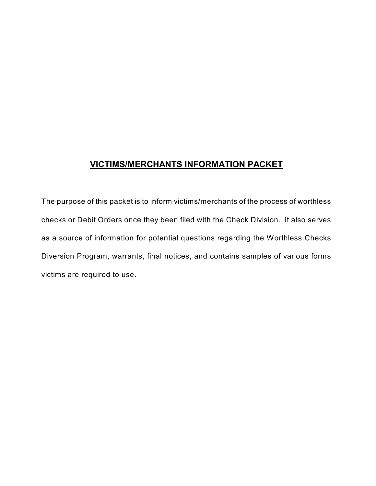## **VICTIMS/MERCHANTS INFORMATION PACKET**

The purpose of this packet is to inform victims/merchants of the process of worthless checks or Debit Orders once they been filed with the Check Division. It also serves as a source of information for potential questions regarding the Worthless Checks Diversion Program, warrants, final notices, and contains samples of various forms victims are required to use.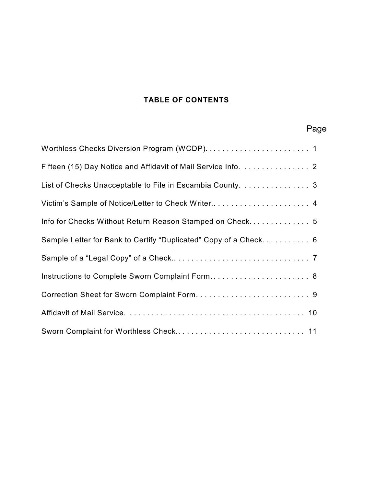## **TABLE OF CONTENTS**

# Page

| Fifteen (15) Day Notice and Affidavit of Mail Service Info. 2    |
|------------------------------------------------------------------|
| List of Checks Unacceptable to File in Escambia County. 3        |
| Victim's Sample of Notice/Letter to Check Writer 4               |
| Info for Checks Without Return Reason Stamped on Check 5         |
| Sample Letter for Bank to Certify "Duplicated" Copy of a Check 6 |
|                                                                  |
| Instructions to Complete Sworn Complaint Form 8                  |
|                                                                  |
|                                                                  |
|                                                                  |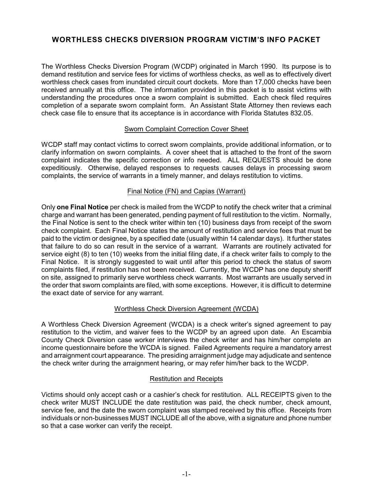## **WORTHLESS CHECKS DIVERSION PROGRAM VICTIM'S INFO PACKET**

The Worthless Checks Diversion Program (WCDP) originated in March 1990. Its purpose is to demand restitution and service fees for victims of worthless checks, as well as to effectively divert worthless check cases from inundated circuit court dockets. More than 17,000 checks have been received annually at this office. The information provided in this packet is to assist victims with understanding the procedures once a sworn complaint is submitted. Each check filed requires completion of a separate sworn complaint form. An Assistant State Attorney then reviews each check case file to ensure that its acceptance is in accordance with Florida Statutes 832.05.

#### Sworn Complaint Correction Cover Sheet

WCDP staff may contact victims to correct sworn complaints, provide additional information, or to clarify information on sworn complaints. A cover sheet that is attached to the front of the sworn complaint indicates the specific correction or info needed. ALL REQUESTS should be done expeditiously. Otherwise, delayed responses to requests causes delays in processing sworn complaints, the service of warrants in a timely manner, and delays restitution to victims.

#### Final Notice (FN) and Capias (Warrant)

Only **one Final Notice** per check is mailed from the WCDP to notify the check writer that a criminal charge and warrant has been generated, pending payment of full restitution to the victim. Normally, the Final Notice is sent to the check writer within ten (10) business days from receipt of the sworn check complaint. Each Final Notice states the amount of restitution and service fees that must be paid to the victim or designee, by a specified date (usually within 14 calendar days). It further states that failure to do so can result in the service of a warrant. Warrants are routinely activated for service eight (8) to ten (10) weeks from the initial filing date, if a check writer fails to comply to the Final Notice. It is strongly suggested to wait until after this period to check the status of sworn complaints filed, if restitution has not been received. Currently, the WCDP has one deputy sheriff on site, assigned to primarily serve worthless check warrants. Most warrants are usually served in the order that sworn complaints are filed, with some exceptions. However, it is difficult to determine the exact date of service for any warrant.

#### Worthless Check Diversion Agreement (WCDA)

A Worthless Check Diversion Agreement (WCDA) is a check writer's signed agreement to pay restitution to the victim, and waiver fees to the WCDP by an agreed upon date. An Escambia County Check Diversion case worker interviews the check writer and has him/her complete an income questionnaire before the WCDA is signed. Failed Agreements require a mandatory arrest and arraignment court appearance. The presiding arraignment judge may adjudicate and sentence the check writer during the arraignment hearing, or may refer him/her back to the WCDP.

#### Restitution and Receipts

Victims should only accept cash or a cashier's check for restitution. ALL RECEIPTS given to the check writer MUST INCLUDE the date restitution was paid, the check number, check amount, service fee, and the date the sworn complaint was stamped received by this office. Receipts from individuals or non-businesses MUST INCLUDE all of the above, with a signature and phone number so that a case worker can verify the receipt.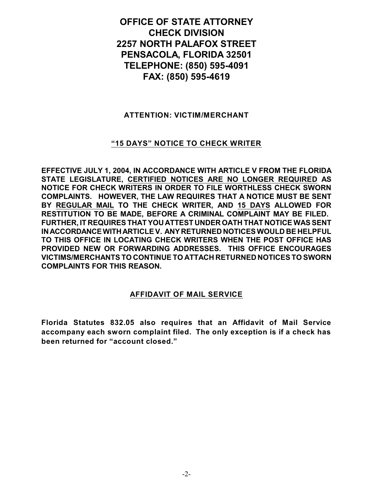**OFFICE OF STATE ATTORNEY CHECK DIVISION 2257 NORTH PALAFOX STREET PENSACOLA, FLORIDA 32501 TELEPHONE: (850) 595-4091 FAX: (850) 595-4619**

#### **ATTENTION: VICTIM/MERCHANT**

## **"15 DAYS" NOTICE TO CHECK WRITER**

**EFFECTIVE JULY 1, 2004, IN ACCORDANCE WITH ARTICLE V FROM THE FLORIDA STATE LEGISLATURE, CERTIFIED NOTICES ARE NO LONGER REQUIRED AS NOTICE FOR CHECK WRITERS IN ORDER TO FILE WORTHLESS CHECK SWORN COMPLAINTS. HOWEVER, THE LAW REQUIRES THAT A NOTICE MUST BE SENT BY REGULAR MAIL TO THE CHECK WRITER, AND 15 DAYS ALLOWED FOR RESTITUTION TO BE MADE, BEFORE A CRIMINAL COMPLAINT MAY BE FILED. FURTHER, IT REQUIRES THAT YOU ATTEST UNDER OATH THAT NOTICE WAS SENT INACCORDANCE WITHARTICLE V. ANY RETURNED NOTICES WOULD BE HELPFUL TO THIS OFFICE IN LOCATING CHECK WRITERS WHEN THE POST OFFICE HAS PROVIDED NEW OR FORWARDING ADDRESSES. THIS OFFICE ENCOURAGES VICTIMS/MERCHANTS TO CONTINUE TO ATTACH RETURNED NOTICES TO SWORN COMPLAINTS FOR THIS REASON.** 

#### **AFFIDAVIT OF MAIL SERVICE**

**Florida Statutes 832.05 also requires that an Affidavit of Mail Service accompany each sworn complaint filed. The only exception is if a check has been returned for "account closed."**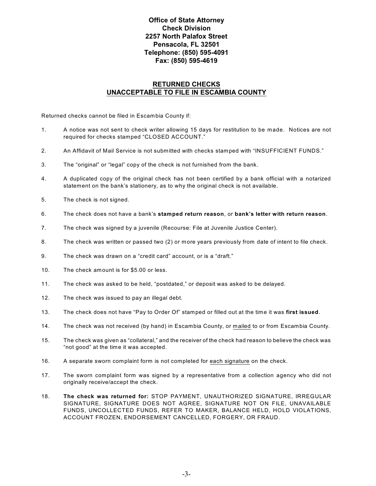#### **Office of State Attorney Check Division 2257 North Palafox Street Pensacola, FL 32501 Telephone: (850) 595-4091 Fax: (850) 595-4619**

#### **RETURNED CHECKS UNACCEPTABLE TO FILE IN ESCAMBIA COUNTY**

Returned checks cannot be filed in Escambia County if:

- 1. A notice was not sent to check writer allowing 15 days for restitution to be made. Notices are not required for checks stamped "CLOSED ACCOUNT."
- 2. An Affidavit of Mail Service is not submitted with checks stamped with "INSUFFICIENT FUNDS."
- 3. The "original" or "legal" copy of the check is not furnished from the bank.
- 4. A duplicated copy of the original check has not been certified by a bank official with a notarized statement on the bank's stationery, as to why the original check is not available.
- 5. The check is not signed.
- 6. The check does not have a bank's **stamped return reason**, or **bank's letter with return reason**.
- 7. The check was signed by a juvenile (Recourse: File at Juvenile Justice Center).
- 8. The check was written or passed two (2) or more years previously from date of intent to file check.
- 9. The check was drawn on a "credit card" account, or is a "draft."
- 10. The check amount is for \$5.00 or less.
- 11. The check was asked to be held, "postdated," or deposit was asked to be delayed.
- 12. The check was issued to pay an illegal debt.
- 13. The check does not have "Pay to Order Of" stamped or filled out at the time it was **first issued**.
- 14. The check was not received (by hand) in Escambia County, or mailed to or from Escambia County.
- 15. The check was given as "collateral," and the receiver of the check had reason to believe the check was "not good" at the time it was accepted.
- 16. A separate sworn complaint form is not completed for each signature on the check.
- 17. The sworn complaint form was signed by a representative from a collection agency who did not originally receive/accept the check.
- 18. **The check was returned for:** STOP PAYMENT, UNAUTHORIZED SIGNATURE, IRREGULAR SIGNATURE, SIGNATURE DOES NOT AGREE, SIGNATURE NOT ON FILE, UNAVAILABLE FUNDS, UNCOLLECTED FUNDS, REFER TO MAKER, BALANCE HELD, HOLD VIOLATIONS, ACCOUNT FROZEN, ENDORSEMENT CANCELLED, FORGERY, OR FRAUD.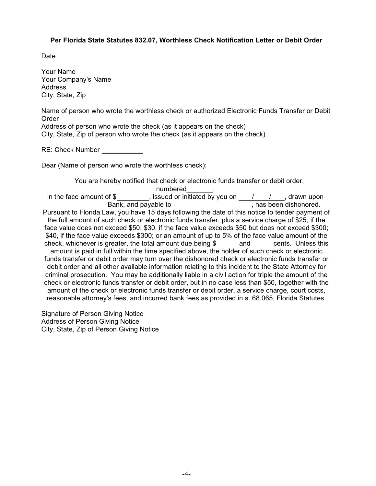#### **Per Florida State Statutes 832.07, Worthless Check Notification Letter or Debit Order**

Date

Your Name Your Company's Name Address City, State, Zip

Name of person who wrote the worthless check or authorized Electronic Funds Transfer or Debit Order

Address of person who wrote the check (as it appears on the check) City, State, Zip of person who wrote the check (as it appears on the check)

RE: Check Number

Dear (Name of person who wrote the worthless check):

You are hereby notified that check or electronic funds transfer or debit order,

numbered\_\_\_\_\_\_\_, in the face amount of  $\frac{1}{2}$ , issued or initiated by you on  $\frac{1}{2}$ , drawn upon Bank, and payable to has been dishonored. bank, and payable to pay about the payable to  $\overline{\phantom{a}}$ , has been dishonored. Pursuant to Florida Law, you have 15 days following the date of this notice to tender payment of the full amount of such check or electronic funds transfer, plus a service charge of \$25, if the face value does not exceed \$50; \$30, if the face value exceeds \$50 but does not exceed \$300; \$40, if the face value exceeds \$300; or an amount of up to 5% of the face value amount of the check, whichever is greater, the total amount due being  $\$\$  and cents. Unless this amount is paid in full within the time specified above, the holder of such check or electronic funds transfer or debit order may turn over the dishonored check or electronic funds transfer or debit order and all other available information relating to this incident to the State Attorney for criminal prosecution. You may be additionally liable in a civil action for triple the amount of the check or electronic funds transfer or debit order, but in no case less than \$50, together with the amount of the check or electronic funds transfer or debit order, a service charge, court costs, reasonable attorney's fees, and incurred bank fees as provided in s. 68.065, Florida Statutes.

Signature of Person Giving Notice Address of Person Giving Notice City, State, Zip of Person Giving Notice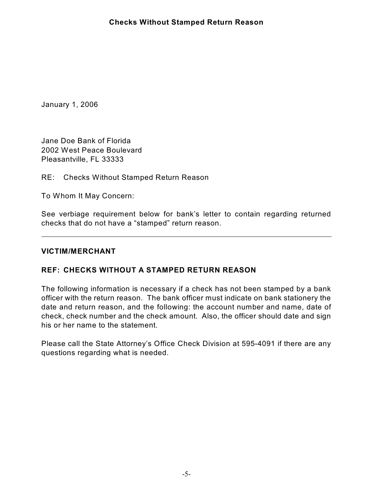January 1, 2006

Jane Doe Bank of Florida 2002 West Peace Boulevard Pleasantville, FL 33333

RE: Checks Without Stamped Return Reason

To Whom It May Concern:

See verbiage requirement below for bank's letter to contain regarding returned checks that do not have a "stamped" return reason.

### **VICTIM/MERCHANT**

### **REF: CHECKS WITHOUT A STAMPED RETURN REASON**

The following information is necessary if a check has not been stamped by a bank officer with the return reason. The bank officer must indicate on bank stationery the date and return reason, and the following: the account number and name, date of check, check number and the check amount. Also, the officer should date and sign his or her name to the statement.

Please call the State Attorney's Office Check Division at 595-4091 if there are any questions regarding what is needed.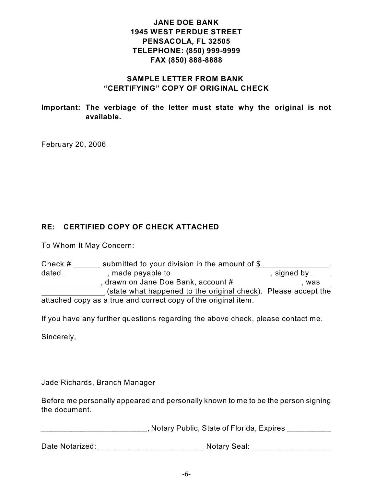## **JANE DOE BANK 1945 WEST PERDUE STREET PENSACOLA, FL 32505 TELEPHONE: (850) 999-9999 FAX (850) 888-8888**

## **SAMPLE LETTER FROM BANK "CERTIFYING" COPY OF ORIGINAL CHECK**

**Important: The verbiage of the letter must state why the original is not available.**

February 20, 2006

## **RE: CERTIFIED COPY OF CHECK ATTACHED**

To Whom It May Concern:

| Check # | submitted to your division in the amount of \$                 |             |  |  |  |  |
|---------|----------------------------------------------------------------|-------------|--|--|--|--|
| dated   | , made payable to                                              | , signed by |  |  |  |  |
|         | drawn on Jane Doe Bank, account #                              | was         |  |  |  |  |
|         | (state what happened to the original check). Please accept the |             |  |  |  |  |
|         | attached copy as a true and correct copy of the original item. |             |  |  |  |  |

If you have any further questions regarding the above check, please contact me.

Sincerely,

Jade Richards, Branch Manager

Before me personally appeared and personally known to me to be the person signing the document.

\_\_\_\_\_\_\_\_\_\_\_\_\_\_\_\_\_\_\_\_\_\_, Notary Public, State of Florida, Expires \_\_\_\_\_\_\_\_\_\_\_\_\_

Date Notarized: \_\_\_\_\_\_\_\_\_\_\_\_\_\_\_\_\_\_\_\_\_\_\_\_\_\_\_\_\_\_ Notary Seal: \_\_\_\_\_\_\_\_\_\_\_\_\_\_\_\_\_\_\_\_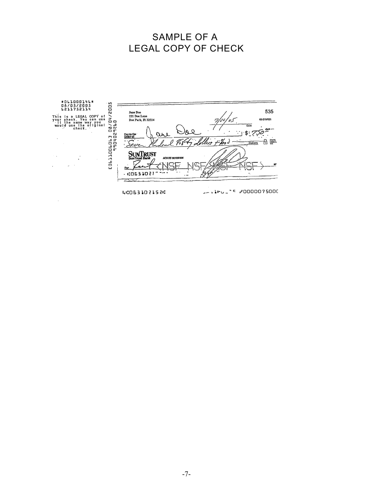# SAMPLE OF A LEGAL COPY OF CHECK



 $\alpha$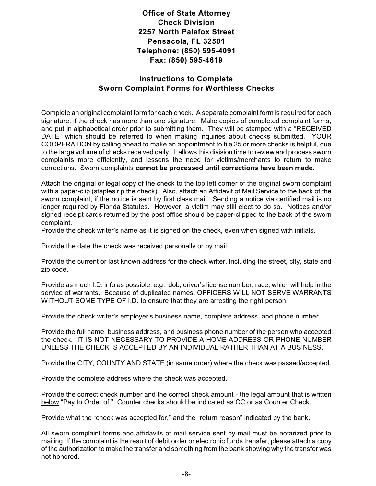**Office of State Attorney Check Division 2257 North Palafox Street Pensacola, FL 32501 Telephone: (850) 595-4091 Fax: (850) 595-4619**

## **Instructions to Complete Sworn Complaint Forms for Worthless Checks**

Complete an original complaint form for each check. A separate complaint form is required for each signature, if the check has more than one signature. Make copies of completed complaint forms, and put in alphabetical order prior to submitting them. They will be stamped with a "RECEIVED DATE" which should be referred to when making inquiries about checks submitted. YOUR COOPERATION by calling ahead to make an appointment to file 25 or more checks is helpful, due to the large volume of checks received daily. It allows this division time to review and process sworn complaints more efficiently, and lessens the need for victims/merchants to return to make corrections. Sworn complaints **cannot be processed until corrections have been made.** 

Attach the original or legal copy of the check to the top left corner of the original sworn complaint with a paper-clip (staples rip the check). Also, attach an Affidavit of Mail Service to the back of the sworn complaint, if the notice is sent by first class mail. Sending a notice via certified mail is no longer required by Florida Statutes. However, a victim may still elect to do so. Notices and/or signed receipt cards returned by the post office should be paper-clipped to the back of the sworn complaint.

Provide the check writer's name as it is signed on the check, even when signed with initials.

Provide the date the check was received personally or by mail.

Provide the current or last known address for the check writer, including the street, city, state and zip code.

Provide as much I.D. info as possible, e.g., dob, driver's license number, race, which will help in the service of warrants. Because of duplicated names, OFFICERS WILL NOT SERVE WARRANTS WITHOUT SOME TYPE OF I.D. to ensure that they are arresting the right person.

Provide the check writer's employer's business name, complete address, and phone number.

Provide the full name, business address, and business phone number of the person who accepted the check. IT IS NOT NECESSARY TO PROVIDE A HOME ADDRESS OR PHONE NUMBER UNLESS THE CHECK IS ACCEPTED BY AN INDIVIDUAL RATHER THAN AT A BUSINESS.

Provide the CITY, COUNTY AND STATE (in same order) where the check was passed/accepted.

Provide the complete address where the check was accepted.

Provide the correct check number and the correct check amount - the legal amount that is written below "Pay to Order of." Counter checks should be indicated as CC or as Counter Check.

Provide what the "check was accepted for," and the "return reason" indicated by the bank.

All sworn complaint forms and affidavits of mail service sent by mail must be notarized prior to mailing. If the complaint is the result of debit order or electronic funds transfer, please attach a copy of the authorization to make the transfer and something from the bank showing why the transfer was not honored.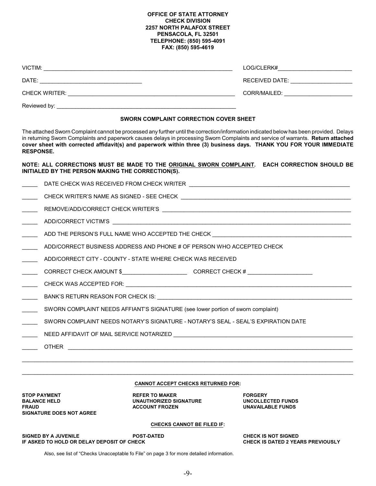#### **OFFICE OF STATE ATTORNEY CHECK DIVISION 2257 NORTH PALAFOX STREET PENSACOLA, FL 32501 TELEPHONE: (850) 595-4091 FAX: (850) 595-4619**

|                            |                                                                                                      | RECEIVED DATE: ______________________                                                                                                                                                                                                                                                                                                                                                              |  |  |
|----------------------------|------------------------------------------------------------------------------------------------------|----------------------------------------------------------------------------------------------------------------------------------------------------------------------------------------------------------------------------------------------------------------------------------------------------------------------------------------------------------------------------------------------------|--|--|
|                            |                                                                                                      |                                                                                                                                                                                                                                                                                                                                                                                                    |  |  |
|                            |                                                                                                      |                                                                                                                                                                                                                                                                                                                                                                                                    |  |  |
|                            | SWORN COMPLAINT CORRECTION COVER SHEET                                                               |                                                                                                                                                                                                                                                                                                                                                                                                    |  |  |
|                            | <b>RESPONSE.</b>                                                                                     | The attached Sworn Complaint cannot be processed any further until the correction/information indicated below has been provided. Delays<br>in returning Sworn Complaints and paperwork causes delays in processing Sworn Complaints and service of warrants. Return attached<br>cover sheet with corrected affidavit(s) and paperwork within three (3) business days. THANK YOU FOR YOUR IMMEDIATE |  |  |
|                            | INITIALED BY THE PERSON MAKING THE CORRECTION(S).                                                    | NOTE: ALL CORRECTIONS MUST BE MADE TO THE ORIGINAL SWORN COMPLAINT. EACH CORRECTION SHOULD BE                                                                                                                                                                                                                                                                                                      |  |  |
|                            |                                                                                                      |                                                                                                                                                                                                                                                                                                                                                                                                    |  |  |
|                            |                                                                                                      |                                                                                                                                                                                                                                                                                                                                                                                                    |  |  |
| $\overline{\phantom{a}}$   |                                                                                                      |                                                                                                                                                                                                                                                                                                                                                                                                    |  |  |
| $\overline{\phantom{a}}$   |                                                                                                      |                                                                                                                                                                                                                                                                                                                                                                                                    |  |  |
|                            |                                                                                                      | ADD THE PERSON'S FULL NAME WHO ACCEPTED THE CHECK _______________________________                                                                                                                                                                                                                                                                                                                  |  |  |
|                            | ADD/CORRECT BUSINESS ADDRESS AND PHONE # OF PERSON WHO ACCEPTED CHECK                                |                                                                                                                                                                                                                                                                                                                                                                                                    |  |  |
| $\mathbb{R}$               | ADD/CORRECT CITY - COUNTY - STATE WHERE CHECK WAS RECEIVED                                           |                                                                                                                                                                                                                                                                                                                                                                                                    |  |  |
|                            | CORRECT CHECK AMOUNT \$__________________________________CORRECT CHECK # ___________________________ |                                                                                                                                                                                                                                                                                                                                                                                                    |  |  |
| $\mathcal{L}(\mathcal{L})$ |                                                                                                      |                                                                                                                                                                                                                                                                                                                                                                                                    |  |  |
| $\overline{\phantom{a}}$   | BANK'S RETURN REASON FOR CHECK IS: University Processor and ANNIS RETURN REASON FOR CHECK IS:        |                                                                                                                                                                                                                                                                                                                                                                                                    |  |  |
| $\frac{1}{2}$              | SWORN COMPLAINT NEEDS AFFIANT'S SIGNATURE (see lower portion of sworn complaint)                     |                                                                                                                                                                                                                                                                                                                                                                                                    |  |  |
|                            | SWORN COMPLAINT NEEDS NOTARY'S SIGNATURE - NOTARY'S SEAL - SEAL'S EXPIRATION DATE                    |                                                                                                                                                                                                                                                                                                                                                                                                    |  |  |
|                            | NEED AFFIDAVIT OF MAIL SERVICE NOTARIZED                                                             |                                                                                                                                                                                                                                                                                                                                                                                                    |  |  |
|                            | <b>OTHER</b>                                                                                         |                                                                                                                                                                                                                                                                                                                                                                                                    |  |  |
|                            |                                                                                                      |                                                                                                                                                                                                                                                                                                                                                                                                    |  |  |
|                            |                                                                                                      |                                                                                                                                                                                                                                                                                                                                                                                                    |  |  |
|                            | <b>CANNOT ACCEPT CHECKS RETURNED FOR:</b>                                                            |                                                                                                                                                                                                                                                                                                                                                                                                    |  |  |

THE STOP PAYMENT **STOP PAYMENT AND REFER TO MAKER** FORGERY FORGERY<br>BALANCE HELD **REFER TO MANTHORIZED SIGNATURE** TO MANTHORIZED SIGNATURE **BALANCE HELD UNAUTHORIZED SIGNATURE UNCOLLECTED FUNDS SIGNATURE DOES NOT AGREE**

**UNAVAILABLE FUNDS** 

#### **CHECKS CANNOT BE FILED IF:**

**SIGNED BY A JUVENILE POST-DATED CHECK IS NOT SIGNED IF ASKED TO HOLD OR DELAY DEPOSIT OF CHECK** 

Also, see list of "Checks Unacceptable fo File" on page 3 for more detailed information.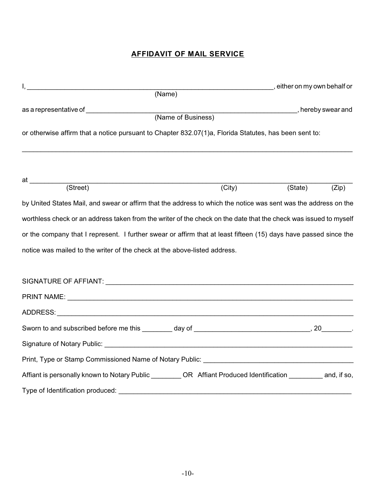## **AFFIDAVIT OF MAIL SERVICE**

|                                                                                                                                                                                                                               |        | either on my own behalf or |
|-------------------------------------------------------------------------------------------------------------------------------------------------------------------------------------------------------------------------------|--------|----------------------------|
| (Name)                                                                                                                                                                                                                        |        |                            |
|                                                                                                                                                                                                                               |        |                            |
| (Name of Business)                                                                                                                                                                                                            |        |                            |
| or otherwise affirm that a notice pursuant to Chapter 832.07(1)a, Florida Statutes, has been sent to:                                                                                                                         |        |                            |
| at ___________                                                                                                                                                                                                                |        |                            |
| $\overline{\text{(Street)}}$                                                                                                                                                                                                  | (City) | (State)<br>(Zip)           |
| by United States Mail, and swear or affirm that the address to which the notice was sent was the address on the                                                                                                               |        |                            |
| worthless check or an address taken from the writer of the check on the date that the check was issued to myself                                                                                                              |        |                            |
| or the company that I represent. I further swear or affirm that at least fifteen (15) days have passed since the                                                                                                              |        |                            |
| notice was mailed to the writer of the check at the above-listed address.                                                                                                                                                     |        |                            |
| SIGNATURE OF AFFIANT: University of the state of the state of the state of the state of the state of the state of the state of the state of the state of the state of the state of the state of the state of the state of the |        |                            |
|                                                                                                                                                                                                                               |        |                            |
|                                                                                                                                                                                                                               |        |                            |
|                                                                                                                                                                                                                               |        |                            |
|                                                                                                                                                                                                                               |        |                            |
|                                                                                                                                                                                                                               |        |                            |
| Affiant is personally known to Notary Public __________OR Affiant Produced Identification ___________ and, if so,                                                                                                             |        |                            |
| Type of Identification produced: Type of Identification produced:                                                                                                                                                             |        |                            |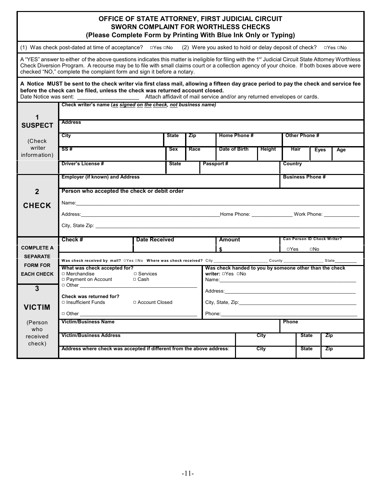| OFFICE OF STATE ATTORNEY, FIRST JUDICIAL CIRCUIT<br><b>SWORN COMPLAINT FOR WORTHLESS CHECKS</b><br>(Please Complete Form by Printing With Blue Ink Only or Typing)                                                                                                                                                                                                                        |                                                                                                                                                                                                                                |                      |              |            |               |               |                         |               |                             |            |  |
|-------------------------------------------------------------------------------------------------------------------------------------------------------------------------------------------------------------------------------------------------------------------------------------------------------------------------------------------------------------------------------------------|--------------------------------------------------------------------------------------------------------------------------------------------------------------------------------------------------------------------------------|----------------------|--------------|------------|---------------|---------------|-------------------------|---------------|-----------------------------|------------|--|
|                                                                                                                                                                                                                                                                                                                                                                                           | (1) Was check post-dated at time of acceptance? □ Yes □ No (2) Were you asked to hold or delay deposit of check? □ Yes □ No                                                                                                    |                      |              |            |               |               |                         |               |                             |            |  |
| A "YES" answer to either of the above questions indicates this matter is ineligible for filing with the 1 <sup>st</sup> Judicial Circuit State Attorney Worthless<br>Check Diversion Program. A recourse may be to file with small claims court or a collection agency of your choice. If both boxes above were<br>checked "NO," complete the complaint form and sign it before a notary. |                                                                                                                                                                                                                                |                      |              |            |               |               |                         |               |                             |            |  |
| A Notice MUST be sent to the check writer via first class mail, allowing a fifteen day grace period to pay the check and service fee<br>before the check can be filed, unless the check was returned account closed.                                                                                                                                                                      |                                                                                                                                                                                                                                |                      |              |            |               |               |                         |               |                             |            |  |
| 1                                                                                                                                                                                                                                                                                                                                                                                         | Check writer's name (as signed on the check, not business name)<br><b>Address</b>                                                                                                                                              |                      |              |            |               |               |                         |               |                             |            |  |
| <b>SUSPECT</b>                                                                                                                                                                                                                                                                                                                                                                            |                                                                                                                                                                                                                                |                      |              |            |               |               |                         |               |                             |            |  |
| (Check                                                                                                                                                                                                                                                                                                                                                                                    | City                                                                                                                                                                                                                           |                      | <b>State</b> | <b>Zip</b> |               | Home Phone #  |                         | Other Phone # |                             |            |  |
| writer<br>information)                                                                                                                                                                                                                                                                                                                                                                    | SS#                                                                                                                                                                                                                            |                      | <b>Sex</b>   | Race       |               | Date of Birth | Height                  | Hair          | <b>Eyes</b>                 | Age        |  |
|                                                                                                                                                                                                                                                                                                                                                                                           | <b>Driver's License #</b><br>Passport #<br><b>State</b>                                                                                                                                                                        |                      |              |            |               |               |                         | Country       |                             |            |  |
|                                                                                                                                                                                                                                                                                                                                                                                           | <b>Employer (if known) and Address</b>                                                                                                                                                                                         |                      |              |            |               |               | <b>Business Phone #</b> |               |                             |            |  |
| $\overline{2}$                                                                                                                                                                                                                                                                                                                                                                            | Person who accepted the check or debit order                                                                                                                                                                                   |                      |              |            |               |               |                         |               |                             |            |  |
| <b>CHECK</b>                                                                                                                                                                                                                                                                                                                                                                              | Name: Name:                                                                                                                                                                                                                    |                      |              |            |               |               |                         |               |                             |            |  |
|                                                                                                                                                                                                                                                                                                                                                                                           | Address: Work Phone: Work Phone: Work Phone: Work Phone: 2009                                                                                                                                                                  |                      |              |            |               |               |                         |               |                             |            |  |
|                                                                                                                                                                                                                                                                                                                                                                                           | City, State Zip: example of the state of the state of the state of the state of the state of the state of the state of the state of the state of the state of the state of the state of the state of the state of the state of |                      |              |            |               |               |                         |               |                             |            |  |
|                                                                                                                                                                                                                                                                                                                                                                                           | Check #                                                                                                                                                                                                                        | <b>Date Received</b> |              |            | <b>Amount</b> |               |                         |               | Can Person ID Check Writer? |            |  |
| <b>COMPLETE A</b>                                                                                                                                                                                                                                                                                                                                                                         |                                                                                                                                                                                                                                | \$                   |              |            |               | □Yes<br>□No   |                         |               |                             |            |  |
| <b>SEPARATE</b>                                                                                                                                                                                                                                                                                                                                                                           | Was check received by mail? □Yes □No Where was check received? City ________________________County __________________State_____________                                                                                        |                      |              |            |               |               |                         |               |                             |            |  |
| <b>FORM FOR</b><br><b>EACH CHECK</b>                                                                                                                                                                                                                                                                                                                                                      | What was check accepted for?<br>Was check handed to you by someone other than the check<br>$\Box$ Services<br>writer: □Yes □No<br>$\Box$ Merchandise<br>□ Payment on Account<br>□ Cash<br>Name: Name                           |                      |              |            |               |               |                         |               |                             |            |  |
| 3                                                                                                                                                                                                                                                                                                                                                                                         | □ Other                                                                                                                                                                                                                        |                      |              |            |               |               |                         |               |                             |            |  |
|                                                                                                                                                                                                                                                                                                                                                                                           | Address:<br><u> 1980 - Johann Barbara, martin amerikan basal dan berasal dalam basal dalam basal dalam basal dalam basal dala</u><br>Check was returned for?                                                                   |                      |              |            |               |               |                         |               |                             |            |  |
| <b>VICTIM</b>                                                                                                                                                                                                                                                                                                                                                                             | □ Account Closed<br>□ Insufficient Funds                                                                                                                                                                                       |                      |              |            |               |               |                         |               |                             |            |  |
|                                                                                                                                                                                                                                                                                                                                                                                           | $\Box$ Other<br>Phone:                                                                                                                                                                                                         |                      |              |            |               |               |                         |               |                             |            |  |
| (Person<br>who                                                                                                                                                                                                                                                                                                                                                                            | <b>Phone</b><br><b>Victim/Business Name</b>                                                                                                                                                                                    |                      |              |            |               |               |                         |               |                             |            |  |
| received                                                                                                                                                                                                                                                                                                                                                                                  | <b>Victim/Business Address</b>                                                                                                                                                                                                 |                      |              |            |               |               | City                    |               | <b>State</b>                | <b>Zip</b> |  |
| check)                                                                                                                                                                                                                                                                                                                                                                                    | Address where check was accepted if different from the above address:                                                                                                                                                          |                      |              |            |               |               | <b>City</b>             |               | <b>State</b>                | <b>Zip</b> |  |